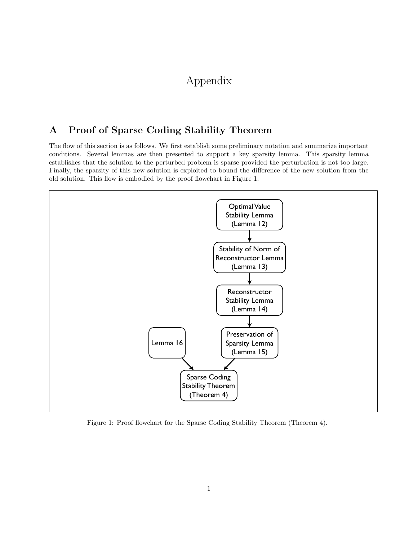# Appendix

# A Proof of Sparse Coding Stability Theorem

The flow of this section is as follows. We first establish some preliminary notation and summarize important conditions. Several lemmas are then presented to support a key sparsity lemma. This sparsity lemma establishes that the solution to the perturbed problem is sparse provided the perturbation is not too large. Finally, the sparsity of this new solution is exploited to bound the difference of the new solution from the old solution. This flow is embodied by the proof flowchart in Figure 1.



Figure 1: Proof flowchart for the Sparse Coding Stability Theorem (Theorem 4).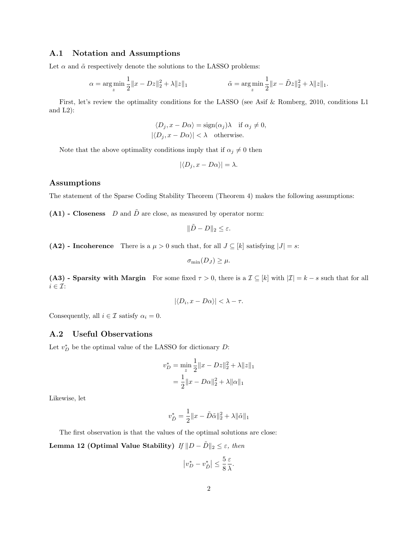#### A.1 Notation and Assumptions

Let  $\alpha$  and  $\tilde{\alpha}$  respectively denote the solutions to the LASSO problems:

$$
\alpha = \underset{z}{\arg \min} \frac{1}{2} \|x - Dz\|_2^2 + \lambda \|z\|_1 \qquad \qquad \tilde{\alpha} = \underset{z}{\arg \min} \frac{1}{2} \|x - \tilde{D}z\|_2^2 + \lambda \|z\|_1.
$$

First, let's review the optimality conditions for the LASSO (see Asif & Romberg, 2010, conditions L1 and  $L2$ :

$$
\langle D_j, x - D\alpha \rangle = \text{sign}(\alpha_j) \lambda \quad \text{if } \alpha_j \neq 0,
$$
  

$$
|\langle D_j, x - D\alpha \rangle| < \lambda \quad \text{otherwise.}
$$

Note that the above optimality conditions imply that if  $\alpha_j \neq 0$  then

$$
|\langle D_j, x - D\alpha \rangle| = \lambda.
$$

#### Assumptions

The statement of the Sparse Coding Stability Theorem (Theorem 4) makes the following assumptions:

 $(A1)$  - Closeness D and  $\tilde{D}$  are close, as measured by operator norm:

$$
\|\tilde{D} - D\|_2 \le \varepsilon.
$$

(A2) - Incoherence There is a  $\mu > 0$  such that, for all  $J \subseteq [k]$  satisfying  $|J| = s$ :

$$
\sigma_{\min}(D_J) \geq \mu.
$$

(A3) - Sparsity with Margin For some fixed  $\tau > 0$ , there is a  $\mathcal{I} \subseteq [k]$  with  $|\mathcal{I}| = k - s$  such that for all  $i \in \mathcal{I}$ :

$$
|\langle D_i, x - D\alpha \rangle| < \lambda - \tau.
$$

Consequently, all  $i \in \mathcal{I}$  satisfy  $\alpha_i = 0$ .

### A.2 Useful Observations

Let  $v_D^*$  be the optimal value of the LASSO for dictionary  $D$ :

$$
v_D^* = \min_z \frac{1}{2} ||x - Dz||_2^2 + \lambda ||z||_1
$$
  
=  $\frac{1}{2} ||x - D\alpha||_2^2 + \lambda ||\alpha||_1$ 

Likewise, let

$$
v_{\tilde{D}}^* = \frac{1}{2} ||x - \tilde{D}\tilde{\alpha}||_2^2 + \lambda ||\tilde{\alpha}||_1
$$

The first observation is that the values of the optimal solutions are close:

Lemma 12 (Optimal Value Stability)  $If ||D - \tilde{D}||_2 \leq \varepsilon$ , then

$$
\left|v_D^* - v_{\tilde{D}}^*\right| \le \frac{5}{8} \frac{\varepsilon}{\lambda}.
$$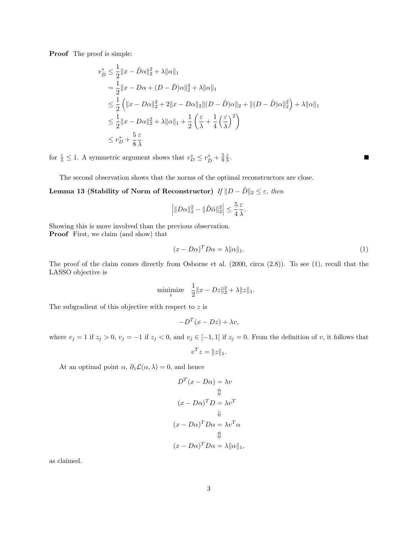Proof The proof is simple:

$$
v_{\tilde{D}}^* \leq \frac{1}{2} \|x - \tilde{D}\alpha\|_2^2 + \lambda \|\alpha\|_1
$$
  
=  $\frac{1}{2} \|x - D\alpha + (D - \tilde{D})\alpha\|_2^2 + \lambda \|\alpha\|_1$   
 $\leq \frac{1}{2} ( \|x - D\alpha\|_2^2 + 2 \|x - D\alpha\|_2 \| (D - \tilde{D})\alpha\|_2 + \| (D - \tilde{D})\alpha\|_2^2 ) + \lambda \|\alpha\|_1$   
 $\leq \frac{1}{2} \|x - D\alpha\|_2^2 + \lambda \|\alpha\|_1 + \frac{1}{2} ( \frac{\varepsilon}{\lambda} + \frac{1}{4} (\frac{\varepsilon}{\lambda})^2 )$   
 $\leq v_D^* + \frac{5}{8} \frac{\varepsilon}{\lambda}$ 

for  $\frac{\varepsilon}{\lambda} \leq 1$ . A symmetric argument shows that  $v_D^* \leq v_{\tilde{D}}^* + \frac{5}{8} \frac{\varepsilon}{\lambda}$ .

The second observation shows that the norms of the optimal reconstructors are close.

Lemma 13 (Stability of Norm of Reconstructor)  $If ||D - \tilde{D}||_2 \leq \varepsilon$ , then

$$
\left| \|D\alpha\|_2^2 - \|\tilde{D}\tilde{\alpha}\|_2^2 \right| \le \frac{5}{4} \frac{\varepsilon}{\lambda}.
$$

Showing this is more involved than the previous observation. Proof First, we claim (and show) that

$$
(x - D\alpha)^T D\alpha = \lambda \|\alpha\|_1. \tag{1}
$$

 $\blacksquare$ 

The proof of the claim comes directly from Osborne et al. (2000, circa (2.8)). To see (1), recall that the LASSO objective is

minimize 
$$
\frac{1}{2} ||x - Dz||_2^2 + \lambda ||z||_1
$$
.

The subgradient of this objective with respect to  $z$  is

$$
-D^{T}(x - Dz) + \lambda v,
$$

where  $v_j = 1$  if  $z_j > 0$ ,  $v_j = -1$  if  $z_j < 0$ , and  $v_j \in [-1, 1]$  if  $z_j = 0$ . From the definition of v, it follows that

$$
v^T z = ||z||_1.
$$

At an optimal point  $\alpha$ ,  $\partial_z \mathcal{L}(\alpha, \lambda) = 0$ , and hence

$$
D^{T}(x - D\alpha) = \lambda v
$$
  
\n
$$
\updownarrow
$$
  
\n
$$
(x - D\alpha)^{T} D = \lambda v^{T}
$$
  
\n
$$
\downarrow
$$
  
\n
$$
(x - D\alpha)^{T} D\alpha = \lambda v^{T} \alpha
$$
  
\n
$$
\updownarrow
$$
  
\n
$$
(x - D\alpha)^{T} D\alpha = \lambda ||\alpha||_{1},
$$

as claimed.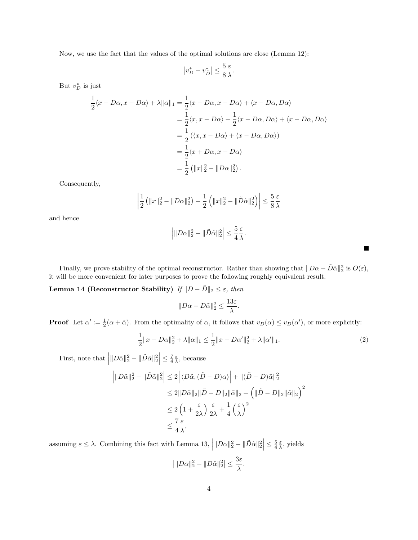Now, we use the fact that the values of the optimal solutions are close (Lemma 12):

$$
\left|v_D^* - v_{\tilde{D}}^*\right| \le \frac{5}{8} \frac{\varepsilon}{\lambda}.
$$

But  $v_D^*$  is just

$$
\frac{1}{2}\langle x - D\alpha, x - D\alpha \rangle + \lambda ||\alpha||_1 = \frac{1}{2}\langle x - D\alpha, x - D\alpha \rangle + \langle x - D\alpha, D\alpha \rangle
$$

$$
= \frac{1}{2}\langle x, x - D\alpha \rangle - \frac{1}{2}\langle x - D\alpha, D\alpha \rangle + \langle x - D\alpha, D\alpha \rangle
$$

$$
= \frac{1}{2}\left(\langle x, x - D\alpha \rangle + \langle x - D\alpha, D\alpha \rangle\right)
$$

$$
= \frac{1}{2}\langle x + D\alpha, x - D\alpha \rangle
$$

$$
= \frac{1}{2}\left(\|x\|_2^2 - \|D\alpha\|_2^2\right).
$$

Consequently,

$$
\left|\frac{1}{2}\left(\|x\|_2^2 - \|D\alpha\|_2^2\right) - \frac{1}{2}\left(\|x\|_2^2 - \|\tilde{D}\tilde{\alpha}\|_2^2\right)\right| \le \frac{5}{8}\frac{\varepsilon}{\lambda}
$$

and hence

$$
\left| \|D\alpha\|_2^2 - \|\tilde{D}\tilde{\alpha}\|_2^2 \right| \le \frac{5}{4} \frac{\varepsilon}{\lambda}.
$$

Finally, we prove stability of the optimal reconstructor. Rather than showing that  $||D\alpha - \tilde{D}\tilde{\alpha}||_2^2$  is  $O(\varepsilon)$ , it will be more convenient for later purposes to prove the following roughly equivalent result.

Lemma 14 (Reconstructor Stability) If  $||D - \tilde{D}||_2 \leq \varepsilon$ , then

$$
||D\alpha - D\tilde{\alpha}||_2^2 \le \frac{13\varepsilon}{\lambda}.
$$

**Proof** Let  $\alpha' := \frac{1}{2}(\alpha + \tilde{\alpha})$ . From the optimality of  $\alpha$ , it follows that  $v_D(\alpha) \le v_D(\alpha')$ , or more explicitly:

$$
\frac{1}{2}||x - D\alpha||_2^2 + \lambda ||\alpha||_1 \le \frac{1}{2}||x - D\alpha'||_2^2 + \lambda ||\alpha'||_1.
$$
 (2)

First, note that  $\left| \|D\tilde{\alpha}\|_2^2 - \|\tilde{D}\tilde{\alpha}\|_2^2 \right| \leq \frac{7}{4} \frac{\varepsilon}{\lambda}$ , because

$$
\left| \|D\tilde{\alpha}\|_{2}^{2} - \|\tilde{D}\tilde{\alpha}\|_{2}^{2} \right| \leq 2 \left| \langle D\tilde{\alpha}, (\tilde{D} - D)\alpha \rangle \right| + \|(\tilde{D} - D)\tilde{\alpha}\|_{2}^{2}
$$
  
\n
$$
\leq 2 \|D\tilde{\alpha}\|_{2} \|\tilde{D} - D\|_{2} \|\tilde{\alpha}\|_{2} + \left( \|\tilde{D} - D\|_{2} \|\tilde{\alpha}\|_{2} \right)^{2}
$$
  
\n
$$
\leq 2 \left( 1 + \frac{\varepsilon}{2\lambda} \right) \frac{\varepsilon}{2\lambda} + \frac{1}{4} \left( \frac{\varepsilon}{\lambda} \right)^{2}
$$
  
\n
$$
\leq \frac{7}{4} \frac{\varepsilon}{\lambda},
$$

assuming  $\varepsilon \leq \lambda$ . Combining this fact with Lemma 13,  $\left| ||D\alpha||_2^2 - ||\tilde{D}\tilde{\alpha}||_2^2 \right| \leq \frac{5}{4} \frac{\varepsilon}{\lambda}$ , yields

$$
\left|\|D\alpha\|_2^2 - \|D\tilde{\alpha}\|_2^2\right| \le \frac{3\varepsilon}{\lambda}.
$$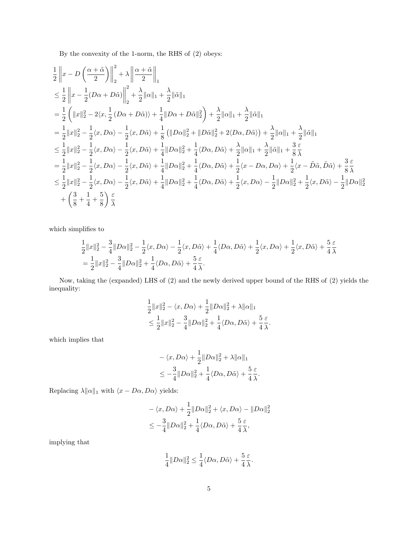By the convexity of the 1-norm, the RHS of (2) obeys:

$$
\begin{split} &\frac{1}{2}\left\|x-D\left(\frac{\alpha+\tilde{\alpha}}{2}\right)\right\|_{2}^{2}+\lambda\left\|\frac{\alpha+\tilde{\alpha}}{2}\right\|_{1}^{2}\\ &\leq \frac{1}{2}\left\|x-\frac{1}{2}(D\alpha+D\tilde{\alpha})\right\|_{2}^{2}+\frac{\lambda}{2}\|\alpha\|_{1}+\frac{\lambda}{2}\|\tilde{\alpha}\|_{1}\\ &=\frac{1}{2}\left(\|x\|_{2}^{2}-2\langle x,\frac{1}{2}\left(D\alpha+D\tilde{\alpha}\right)\rangle+\frac{1}{4}\|D\alpha+D\tilde{\alpha}\|_{2}^{2}\right)+\frac{\lambda}{2}\|\alpha\|_{1}+\frac{\lambda}{2}\|\tilde{\alpha}\|_{1}\\ &=\frac{1}{2}\|x\|_{2}^{2}-\frac{1}{2}\langle x,D\alpha\rangle-\frac{1}{2}\langle x,D\tilde{\alpha}\rangle+\frac{1}{8}\left(\|D\alpha\|_{2}^{2}+\|D\tilde{\alpha}\|_{2}^{2}+2\langle D\alpha,D\tilde{\alpha}\rangle\right)+\frac{\lambda}{2}\|\alpha\|_{1}+\frac{\lambda}{2}\|\tilde{\alpha}\|_{1}\\ &\leq \frac{1}{2}\|x\|_{2}^{2}-\frac{1}{2}\langle x,D\alpha\rangle-\frac{1}{2}\langle x,D\tilde{\alpha}\rangle+\frac{1}{4}\|D\alpha\|_{2}^{2}+\frac{1}{4}\langle D\alpha,D\tilde{\alpha}\rangle+\frac{\lambda}{2}\|\alpha\|_{1}+\frac{\lambda}{2}\|\tilde{\alpha}\|_{1}+\frac{3}{8}\frac{\varepsilon}{\tilde{\lambda}}\\ &=\frac{1}{2}\|x\|_{2}^{2}-\frac{1}{2}\langle x,D\alpha\rangle-\frac{1}{2}\langle x,D\tilde{\alpha}\rangle+\frac{1}{4}\|D\alpha\|_{2}^{2}+\frac{1}{4}\langle D\alpha,D\tilde{\alpha}\rangle+\frac{1}{2}\langle x-D\alpha,D\alpha\rangle+\frac{1}{2}\langle x-\tilde{D}\tilde{\alpha},\tilde{D}\tilde{\alpha}\rangle+\frac{3}{8}\frac{\varepsilon}{\tilde{\lambda}}\\ &\leq \frac{1}{2}\|x\|_{2}^{2}-\frac{1}{2}\langle x,D\alpha\rangle-\frac{1}{2}\langle x,D\tilde{\alpha}\rangle+\frac{1}{4}\|D\alpha\|_{2}^{2}+\frac{1}{4}\
$$

which simplifies to

$$
\frac{1}{2}||x||_2^2 - \frac{3}{4}||D\alpha||_2^2 - \frac{1}{2}\langle x, D\alpha\rangle - \frac{1}{2}\langle x, D\tilde{\alpha}\rangle + \frac{1}{4}\langle D\alpha, D\tilde{\alpha}\rangle + \frac{1}{2}\langle x, D\alpha\rangle + \frac{1}{2}\langle x, D\tilde{\alpha}\rangle + \frac{5}{4}\frac{\varepsilon}{\lambda}
$$
\n
$$
= \frac{1}{2}||x||_2^2 - \frac{3}{4}||D\alpha||_2^2 + \frac{1}{4}\langle D\alpha, D\tilde{\alpha}\rangle + \frac{5}{4}\frac{\varepsilon}{\lambda}.
$$

Now, taking the (expanded) LHS of (2) and the newly derived upper bound of the RHS of (2) yields the inequality:

$$
\frac{1}{2}||x||_2^2 - \langle x, D\alpha \rangle + \frac{1}{2}||D\alpha||_2^2 + \lambda ||\alpha||_1
$$
  
\n
$$
\leq \frac{1}{2}||x||_2^2 - \frac{3}{4}||D\alpha||_2^2 + \frac{1}{4}\langle D\alpha, D\tilde{\alpha} \rangle + \frac{5}{4}\frac{\varepsilon}{\lambda}.
$$

which implies that

$$
\begin{aligned} &-\left\langle x,D\alpha\right\rangle +\frac{1}{2}\|D\alpha\|_2^2+\lambda\|\alpha\|_1\\ &\leq -\frac{3}{4}\|D\alpha\|_2^2+\frac{1}{4}\langle D\alpha,D\tilde{\alpha}\rangle+\frac{5}{4}\frac{\varepsilon}{\lambda}. \end{aligned}
$$

Replacing  $\lambda\|\alpha\|_1$  with  $\langle x - D\alpha, D\alpha \rangle$  yields:

$$
\begin{aligned} &-\left\langle x,D\alpha\right\rangle +\frac{1}{2}\|D\alpha\|_2^2+\left\langle x,D\alpha\right\rangle-\|D\alpha\|_2^2\\ &\leq-\frac{3}{4}\|D\alpha\|_2^2+\frac{1}{4}\langle D\alpha,D\tilde{\alpha}\rangle+\frac{5}{4}\frac{\varepsilon}{\lambda}, \end{aligned}
$$

implying that

$$
\frac{1}{4}\|D\alpha\|_2^2 \leq \frac{1}{4}\langle D\alpha,D\tilde{\alpha}\rangle + \frac{5}{4}\frac{\varepsilon}{\lambda}.
$$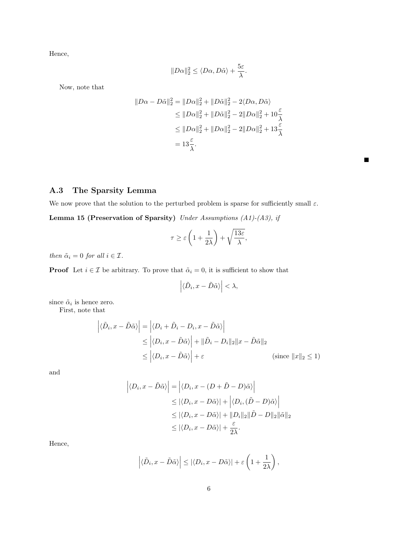Hence,

$$
||D\alpha||_2^2 \le \langle D\alpha, D\tilde{\alpha}\rangle + \frac{5\varepsilon}{\lambda}.
$$

Now, note that

$$
||D\alpha - D\tilde{\alpha}||_2^2 = ||D\alpha||_2^2 + ||D\tilde{\alpha}||_2^2 - 2\langle D\alpha, D\tilde{\alpha}\rangle
$$
  
\n
$$
\leq ||D\alpha||_2^2 + ||D\tilde{\alpha}||_2^2 - 2||D\alpha||_2^2 + 10\frac{\varepsilon}{\lambda}
$$
  
\n
$$
\leq ||D\alpha||_2^2 + ||D\alpha||_2^2 - 2||D\alpha||_2^2 + 13\frac{\varepsilon}{\lambda}
$$
  
\n
$$
= 13\frac{\varepsilon}{\lambda}.
$$

 $\blacksquare$ 

A.3 The Sparsity Lemma

We now prove that the solution to the perturbed problem is sparse for sufficiently small  $\varepsilon$ .

Lemma 15 (Preservation of Sparsity) Under Assumptions (A1)-(A3), if

$$
\tau \ge \varepsilon \left(1 + \frac{1}{2\lambda}\right) + \sqrt{\frac{13\varepsilon}{\lambda}},
$$

then  $\tilde{\alpha}_i = 0$  for all  $i \in \mathcal{I}$ .

**Proof** Let  $i \in \mathcal{I}$  be arbitrary. To prove that  $\tilde{\alpha}_i = 0$ , it is sufficient to show that

$$
\left| \langle \tilde{D}_i, x - \tilde{D} \tilde{\alpha} \rangle \right| < \lambda,
$$

since  $\tilde{\alpha}_i$  is hence zero.

First, note that

$$
\left| \langle \tilde{D}_i, x - \tilde{D}\tilde{\alpha} \rangle \right| = \left| \langle D_i + \tilde{D}_i - D_i, x - \tilde{D}\tilde{\alpha} \rangle \right|
$$
  
\n
$$
\leq \left| \langle D_i, x - \tilde{D}\tilde{\alpha} \rangle \right| + \|\tilde{D}_i - D_i\|_2 \|x - \tilde{D}\tilde{\alpha}\|_2
$$
  
\n
$$
\leq \left| \langle D_i, x - \tilde{D}\tilde{\alpha} \rangle \right| + \varepsilon
$$
 (since  $\|x\|_2 \leq 1$ )

and

$$
\left| \langle D_i, x - \tilde{D}\tilde{\alpha} \rangle \right| = \left| \langle D_i, x - (D + \tilde{D} - D)\tilde{\alpha} \rangle \right|
$$
  
\n
$$
\leq |\langle D_i, x - D\tilde{\alpha} \rangle| + \left| \langle D_i, (\tilde{D} - D)\tilde{\alpha} \rangle \right|
$$
  
\n
$$
\leq |\langle D_i, x - D\tilde{\alpha} \rangle| + ||D_i||_2 ||\tilde{D} - D||_2 ||\tilde{\alpha}||_2
$$
  
\n
$$
\leq |\langle D_i, x - D\tilde{\alpha} \rangle| + \frac{\varepsilon}{2\lambda}.
$$

Hence,

$$
\left| \langle \tilde{D}_i, x - \tilde{D} \tilde{\alpha} \rangle \right| \leq \left| \langle D_i, x - D \tilde{\alpha} \rangle \right| + \varepsilon \left( 1 + \frac{1}{2\lambda} \right),
$$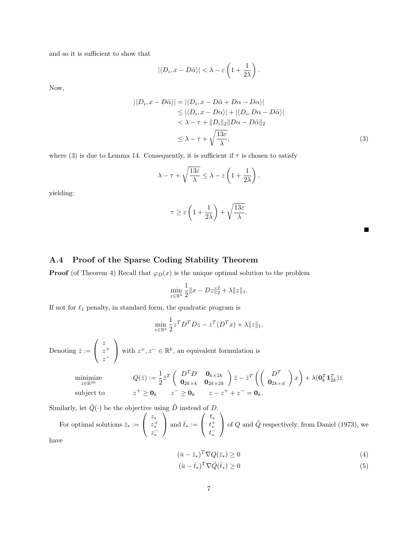and so it is sufficient to show that

$$
|\langle D_i, x - D\tilde{\alpha} \rangle| < \lambda - \varepsilon \left( 1 + \frac{1}{2\lambda} \right).
$$

Now,

$$
|\langle D_i, x - D\tilde{\alpha} \rangle| = |\langle D_i, x - D\tilde{\alpha} + D\alpha - D\alpha \rangle|
$$
  
\n
$$
\leq |\langle D_i, x - D\alpha \rangle| + |\langle D_i, D\alpha - D\tilde{\alpha} \rangle|
$$
  
\n
$$
< \lambda - \tau + ||D_i||_2 ||D\alpha - D\tilde{\alpha}||_2
$$
  
\n
$$
\leq \lambda - \tau + \sqrt{\frac{13\varepsilon}{\lambda}},
$$
\n(3)

where (3) is due to Lemma 14. Consequently, it is sufficient if  $\tau$  is chosen to satisfy

$$
\lambda - \tau + \sqrt{\frac{13\varepsilon}{\lambda}} \leq \lambda - \varepsilon \left( 1 + \frac{1}{2\lambda} \right),
$$

yielding:

$$
\tau \ge \varepsilon \left( 1 + \frac{1}{2\lambda} \right) + \sqrt{\frac{13\varepsilon}{\lambda}}.
$$

### A.4 Proof of the Sparse Coding Stability Theorem

**Proof** (of Theorem 4) Recall that  $\varphi_D(x)$  is the unique optimal solution to the problem

$$
\min_{z \in \mathbb{R}^k} \frac{1}{2} ||x - Dz||_2^2 + \lambda ||z||_1.
$$

If not for  $\ell_1$  penalty, in standard form, the quadratic program is

$$
\min_{z \in \mathbb{R}^k} \frac{1}{2} z^T D^T D z - z^T (D^T x) + \lambda ||z||_1.
$$

Denoting  $\bar{z} :=$  $\sqrt{ }$  $\mathcal{L}$ z  $z^+$  $z^{-}$  $\setminus$ with  $z^+, z^- \in \mathbb{R}^k$ , an equivalent formulation is

$$
\begin{array}{ll}\text{minimize} & Q(\bar{z}) := \frac{1}{2} \bar{z}^T \left( \begin{array}{cc} D^T D & \mathbf{0}_{k \times 2k} \\ \mathbf{0}_{2k \times k} & \mathbf{0}_{2k \times 2k} \end{array} \right) \bar{z} - \bar{z}^T \left( \left( \begin{array}{c} D^T \\ \mathbf{0}_{2k \times d} \end{array} \right) x \right) + \lambda (\mathbf{0}_k^T \mathbf{1}_{2k}^T) \bar{z} \\ \text{subject to} & z^+ \geq \mathbf{0}_k \qquad z^- \geq \mathbf{0}_k \qquad z - z^+ + z^- = \mathbf{0}_k. \end{array}
$$

Similarly, let  $\tilde{Q}(\cdot)$  be the objective using  $\tilde{D}$  instead of D.

For optimal solutions  $\bar{z}_* :=$  $\sqrt{ }$  $\mathcal{L}$ z∗  $z_*^+$ <br> $z_*^ \setminus$ and  $\bar{t}_* :=$  $\sqrt{ }$  $\mathcal{L}$ t∗  $t_*^+$  $\setminus$ of  $Q$  and  $\tilde{Q}$  respectively, from Daniel (1973), we have

$$
(\bar{u} - \bar{z}_*)^T \nabla Q(\bar{z}_*) \ge 0 \tag{4}
$$

$$
(\bar{u} - \bar{t}_*)^T \nabla \tilde{Q}(\bar{t}_*) \ge 0 \tag{5}
$$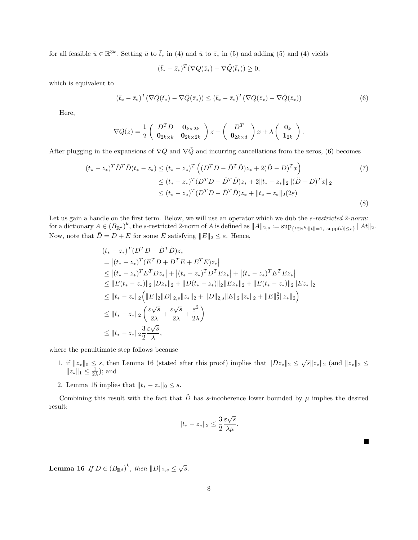for all feasible  $\bar{u} \in \mathbb{R}^{3k}$ . Setting  $\bar{u}$  to  $\bar{t}_*$  in (4) and  $\bar{u}$  to  $\bar{z}_*$  in (5) and adding (5) and (4) yields

$$
(\bar{t}_* - \bar{z}_*)^T (\nabla Q(\bar{z}_*) - \nabla \tilde{Q}(\bar{t}_*)) \ge 0,
$$

which is equivalent to

 $(\bar{t}_* - \bar{z}_*)^T (\nabla \tilde{Q}(\bar{t}_*) - \nabla \tilde{Q}(\bar{z}_*)) \leq (\bar{t}_* - \bar{z}_*)^T (\nabla Q(\bar{z}_*) - \nabla \tilde{Q}(\bar{z}_*))$ (6)

Here,

$$
\nabla Q(z) = \frac{1}{2} \begin{pmatrix} D^T D & \mathbf{0}_{k \times 2k} \\ \mathbf{0}_{2k \times k} & \mathbf{0}_{2k \times 2k} \end{pmatrix} z - \begin{pmatrix} D^T \\ \mathbf{0}_{2k \times d} \end{pmatrix} x + \lambda \begin{pmatrix} \mathbf{0}_k \\ \mathbf{1}_{2k} \end{pmatrix}.
$$

After plugging in the expansions of  $\nabla Q$  and  $\nabla \tilde{Q}$  and incurring cancellations from the zeros, (6) becomes

$$
(t_{*}-z_{*})^{T}\tilde{D}^{T}\tilde{D}(t_{*}-z_{*}) \leq (t_{*}-z_{*})^{T}\left((D^{T}D-\tilde{D}^{T}\tilde{D})z_{*}+2(\tilde{D}-D)^{T}x\right) \tag{7}
$$
  

$$
\leq (t_{*}-z_{*})^{T}(D^{T}D-\tilde{D}^{T}\tilde{D})z_{*}+2\|t_{*}-z_{*}\|_{2}\|(\tilde{D}-D)^{T}x\|_{2}
$$
  

$$
\leq (t_{*}-z_{*})^{T}(D^{T}D-\tilde{D}^{T}\tilde{D})z_{*}+\|t_{*}-z_{*}\|_{2}(2\varepsilon)
$$
  
(8)

Let us gain a handle on the first term. Below, we will use an operator which we dub the s-restricted 2-norm: for a dictionary  $A \in (B_{\mathbb{R}^d})^k$ , the s-restricted 2-norm of A is defined as  $||A||_{2,s} := \sup_{\{t \in \mathbb{R}^k : ||t|| = 1, |\text{supp}(t)| \leq s\}} ||At||_2$ . Now, note that  $\tilde{D} = D + E$  for some E satisfying  $||E||_2 \leq \varepsilon$ . Hence,

$$
(t_{*}-z_{*})^{T}(D^{T}D - \tilde{D}^{T}\tilde{D})z_{*}
$$
\n
$$
= |(t_{*}-z_{*})^{T}(E^{T}D + D^{T}E + E^{T}E)z_{*}|
$$
\n
$$
\leq |(t_{*}-z_{*})^{T}E^{T}Dz_{*}| + |(t_{*}-z_{*})^{T}D^{T}Ez_{*}| + |(t_{*}-z_{*})^{T}E^{T}Ez_{*}|
$$
\n
$$
\leq ||E(t_{*}-z_{*})||_{2}||Dz_{*}||_{2} + ||D(t_{*}-z_{*})||_{2}||Ez_{*}||_{2} + ||E(t_{*}-z_{*})||_{2}||Ez_{*}||_{2}
$$
\n
$$
\leq ||t_{*}-z_{*}||_{2} (||E||_{2}||D||_{2,s}||z_{*}||_{2} + ||D||_{2,s}||E||_{2}||z_{*}||_{2} + ||E||_{2}^{2}||z_{*}||_{2})
$$
\n
$$
\leq ||t_{*}-z_{*}||_{2} \left(\frac{\varepsilon\sqrt{s}}{2\lambda} + \frac{\varepsilon\sqrt{s}}{2\lambda} + \frac{\varepsilon^{2}}{2\lambda}\right)
$$
\n
$$
\leq ||t_{*}-z_{*}||_{2} \frac{3}{2} \frac{\varepsilon\sqrt{s}}{\lambda},
$$

where the penultimate step follows because

- 1. if  $||z_*||_0 \leq s$ , then Lemma 16 (stated after this proof) implies that  $||Dz_*||_2 \leq \sqrt{s}||z_*||_2$  (and  $||z_*||_2 \leq$  $||z_*||_1 \leq \frac{1}{2\lambda}$ ; and
- 2. Lemma 15 implies that  $||t_* z_*||_0 \leq s$ .

Combining this result with the fact that  $\tilde{D}$  has s-incoherence lower bounded by  $\mu$  implies the desired result:

$$
||t_* - z_*||_2 \le \frac{3}{2} \frac{\varepsilon \sqrt{s}}{\lambda \mu}.
$$

**Lemma 16** If  $D \in (B_{\mathbb{R}^d})^k$ , then  $||D||_{2,s} \leq \sqrt{s}$ .

 $\blacksquare$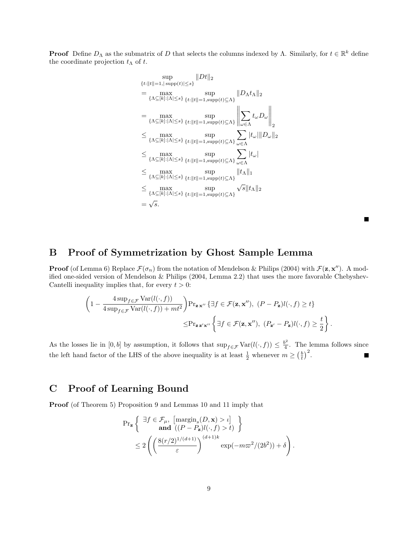**Proof** Define  $D_{\Lambda}$  as the submatrix of D that selects the columns indexed by  $\Lambda$ . Similarly, for  $t \in \mathbb{R}^k$  define the coordinate projection  $t_\Lambda$  of  $t$ .

$$
\sup_{\{t:||t||=1,|\sup p(t)|\leq s\}} ||Dt||_2
$$
\n
$$
= \max_{\{\Lambda \subseteq [k]:|\Lambda| \leq s\}} \sup_{\{t:||t||=1,\sup p(t) \subseteq \Lambda\}} ||D_{\Lambda}t_{\Lambda}||_2
$$
\n
$$
= \max_{\{\Lambda \subseteq [k]:|\Lambda| \leq s\}} \sup_{\{t:||t||=1,\sup p(t) \subseteq \Lambda\}} \left\| \sum_{\omega \in \Lambda} t_{\omega} D_{\omega} \right\|_2
$$
\n
$$
\leq \max_{\{\Lambda \subseteq [k]:|\Lambda| \leq s\}} \sup_{\{t:||t||=1,\sup p(t) \subseteq \Lambda\}} \sum_{\omega \in \Lambda} |t_{\omega}|||D_{\omega}||_2
$$
\n
$$
\leq \max_{\{\Lambda \subseteq [k]:|\Lambda| \leq s\}} \sup_{\{t:||t||=1,\sup p(t) \subseteq \Lambda\}} \sum_{\omega \in \Lambda} |t_{\omega}|
$$
\n
$$
\leq \max_{\{\Lambda \subseteq [k]:|\Lambda| \leq s\}} \sup_{\{t:||t||=1,\sup p(t) \subseteq \Lambda\}} |t_{\Lambda}||_1
$$
\n
$$
\leq \max_{\{\Lambda \subseteq [k]:|\Lambda| \leq s\}} \sup_{\{t:||t||=1,\sup p(t) \subseteq \Lambda\}} \sqrt{s} ||t_{\Lambda}||_2
$$
\n
$$
= \sqrt{s}.
$$

п

## B Proof of Symmetrization by Ghost Sample Lemma

**Proof** (of Lemma 6) Replace  $\mathcal{F}(\sigma_n)$  from the notation of Mendelson & Philips (2004) with  $\mathcal{F}(\mathbf{z}, \mathbf{x}'')$ . A modified one-sided version of Mendelson & Philips (2004, Lemma 2.2) that uses the more favorable Chebyshev-Cantelli inequality implies that, for every  $t > 0$ :

$$
\left(1 - \frac{4 \sup_{f \in \mathcal{F}} \text{Var}(l(\cdot, f))}{4 \sup_{f \in \mathcal{F}} \text{Var}(l(\cdot, f)) + mt^2}\right) \Pr_{\mathbf{z} \times \text{w}'} \left\{ \exists f \in \mathcal{F}(\mathbf{z}, \mathbf{x}''), \ (P - P_{\mathbf{z}})l(\cdot, f) \ge t \right\}
$$

$$
\le \Pr_{\mathbf{z} \times \text{w}'} \left\{ \exists f \in \mathcal{F}(\mathbf{z}, \mathbf{x}''), \ (P_{\mathbf{z}'} - P_{\mathbf{z}})l(\cdot, f) \ge \frac{t}{2} \right\}.
$$

As the losses lie in [0, b] by assumption, it follows that  $\sup_{f \in \mathcal{F}} \text{Var}(l(\cdot, f)) \leq \frac{b^2}{4}$  $\frac{b^2}{4}$ . The lemma follows since the left hand factor of the LHS of the above inequality is at least  $\frac{1}{2}$  whenever  $m \geq (\frac{b}{t})^2$ .  $\blacksquare$ 

## C Proof of Learning Bound

Proof (of Theorem 5) Proposition 9 and Lemmas 10 and 11 imply that

$$
\begin{split} \Pr_{\mathbf{z}}\left\{\begin{array}{c}\exists f \in \mathcal{F}_{\mu},\ \left[\mathrm{margin}_s(D,\mathbf{x}) > \iota\right] \\ \textbf{and}\ \left((P - P_{\mathbf{z}})l(\cdot,f) > t\right) \end{array}\right\} \\ & \leq 2\left(\left(\frac{8(r/2)^{1/(d+1)}}{\varepsilon}\right)^{(d+1)k} \exp(-m\varpi^2/(2b^2)) + \delta\right). \end{split}
$$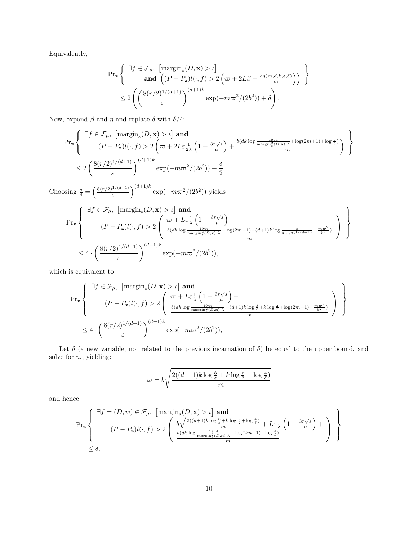Equivalently,

$$
\Pr_{\mathbf{z}}\left\{\begin{array}{l}\exists f \in \mathcal{F}_{\mu}, \ \left[\mathrm{margin}_s(D, \mathbf{x}) > \iota\right] \\ \mathbf{and} \ \left((P - P_{\mathbf{z}})l(\cdot, f) > 2\left(\varpi + 2L\beta + \frac{b\eta(m, d, k, \varepsilon, \delta)}{m}\right)\right) \\ \leq 2\left(\left(\frac{8(r/2)^{1/(d+1)}}{\varepsilon}\right)^{(d+1)k} \exp(-m\varpi^2/(2b^2)) + \delta\right).\end{array}\right\}
$$

Now, expand  $\beta$  and  $\eta$  and replace  $\delta$  with  $\delta/4$ :

$$
\Pr_{\mathbf{z}}\left\{\begin{array}{l}\exists f \in \mathcal{F}_{\mu}, \ \left[\mathrm{margin}_{s}(D, \mathbf{x}) > \iota\right] \text{ and} \\ (P - P_{\mathbf{z}})l(\cdot, f) > 2\left(\varpi + 2L\varepsilon \frac{1}{2\lambda}\left(1 + \frac{3r\sqrt{s}}{\mu}\right) + \frac{b(dk\log\frac{1944}{\mathrm{margin}_{s}^{2}(D, \mathbf{x})\cdot\lambda} + \log(2m+1) + \log\frac{4}{\delta})}{m}\right) \\ \leq 2\left(\frac{8(r/2)^{1/(d+1)}}{\varepsilon}\right)^{(d+1)k} \exp(-m\varpi^{2}/(2b^{2})) + \frac{\delta}{2}.\end{array}\right\}
$$

Choosing  $\frac{\delta}{4} = \left(\frac{8(r/2)^{1/(d+1)}}{\varepsilon}\right)$  $\left(\frac{1/(d+1)}{\varepsilon}\right)^{(d+1)k} \exp(-m\varpi^2/(2b^2))$  yields

$$
\Pr_{\mathbf{z}}\left\{\n\begin{array}{l}\n\exists f \in \mathcal{F}_{\mu}, \quad \left[\text{margin}_{s}(D, \mathbf{x}) > \iota\right] \text{ and} \\
(P - P_{\mathbf{z}})l(\cdot, f) > 2\left(\n\begin{array}{l}\n\varpi + L\varepsilon \frac{1}{\lambda}\left(1 + \frac{3r\sqrt{s}}{\mu}\right) + \\
\frac{b(dk\log\frac{1944}{\max\sin_{s}^{2}(D, \mathbf{x})\cdot\lambda} + \log(2m+1) + (d+1)k\log\frac{\varepsilon}{8(r/2)^{1/(d+1)}} + \frac{m\varpi^{2}}{b^{2}})}{m}\n\end{array}\n\right)\n\right\} \\
\leq 4 \cdot \left(\frac{8(r/2)^{1/(d+1)}}{\varepsilon}\right)^{(d+1)k} \exp(-m\varpi^{2}/(2b^{2})),\n\end{array}
$$

which is equivalent to

$$
\begin{array}{l} \Pr_{\mathbf{z}}\left\{\begin{array}{c}\exists f\in\mathcal{F}_{\mu},\ \left[\mathrm{margin}_{s}(D,\mathbf{x})>\iota\right]\mathrm{\;and}\\\ (P-P_{\mathbf{z}})l(\cdot,f)>2\left(\begin{array}{c}\varpi+L\varepsilon\frac{1}{\lambda}\left(1+\frac{3r\sqrt{s}}{\mu}\right)+\\\frac{b(dk\log\frac{1944}{\max\!\min^2_{\vec{s}}(D,\mathbf{x})\cdot\lambda}-(d+1)k\log\frac{8}{\varepsilon}+k\log\frac{2}{\tau}+\log(2m+1)+\frac{m\varpi^{2}}{b^{2}})}{m}\end{array}\right)\end{array}\right\}\\ \le4\cdot\left(\frac{8(r/2)^{1/(d+1)}}{\varepsilon}\right)^{(d+1)k}\exp(-m\varpi^{2}/(2b^{2})), \end{array}
$$

Let  $\delta$  (a new variable, not related to the previous incarnation of  $\delta$ ) be equal to the upper bound, and solve for  $\varpi$ , yielding:

$$
\varpi = b \sqrt{\frac{2((d+1)k \log \frac{8}{\varepsilon} + k \log \frac{r}{2} + \log \frac{4}{\delta})}{m}}
$$

and hence

$$
\Pr_{\mathbf{z}}\left\{\begin{array}{l} \exists f=(D,w)\in\mathcal{F}_{\mu},\ \left[\mathrm{margin}_s(D,\mathbf{x})>\iota\right]\ \textbf{and} \\[1.5ex] (P-P_{\mathbf{z}})l(\cdot,f)>2\left(\begin{array}{l} b\sqrt{\frac{2((d+1)k\log\frac{8}{\varepsilon}+k\log\frac{r}{\delta}+\log\frac{4}{\delta})}{m}}+\textit{L}\varepsilon\frac{1}{\lambda}\left(1+\frac{3r\sqrt{s}}{\mu}\right)+\\ \frac{b(dk\log\frac{1944}{\max\min^2_{\delta}(D,\mathbf{x})\cdot\lambda}+\log(2m+1)+\log\frac{4}{\delta})}{m}\end{array}\right)\end{array}\right\}
$$